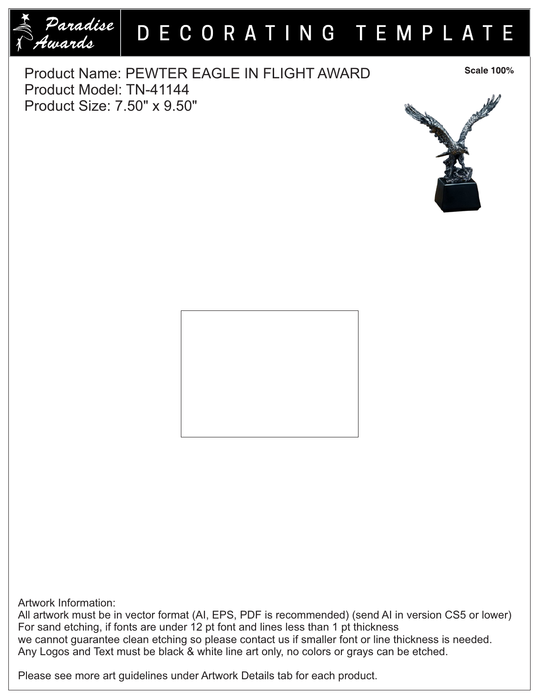

## DECORATING TEMPLATE

Product Name: PEWTER EAGLE IN FLIGHT AWARD Product Model: TN-41144 Product Size: 7.50" x 9.50"

**Scale 100%** 





Artwork Information:

All artwork must be in vector format (AI, EPS, PDF is recommended) (send AI in version CS5 or lower) For sand etching, if fonts are under 12 pt font and lines less than 1 pt thickness we cannot guarantee clean etching so please contact us if smaller font or line thickness is needed. Any Logos and Text must be black & white line art only, no colors or grays can be etched.

Please see more art guidelines under Artwork Details tab for each product.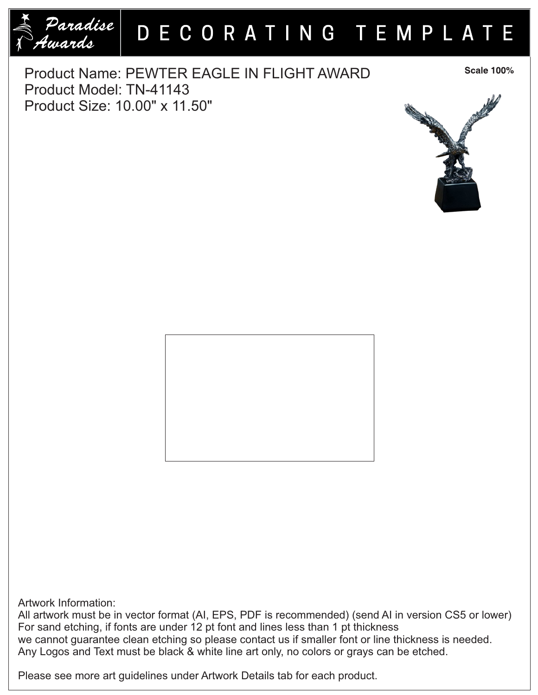

## DECORATING TEMPLATE

Product Name: PEWTER EAGLE IN FLIGHT AWARD Product Model: TN-41143 Product Size: 10.00" x 11.50"

**Scale 100%** 



Artwork Information:

All artwork must be in vector format (AI, EPS, PDF is recommended) (send AI in version CS5 or lower) For sand etching, if fonts are under 12 pt font and lines less than 1 pt thickness we cannot guarantee clean etching so please contact us if smaller font or line thickness is needed. Any Logos and Text must be black & white line art only, no colors or grays can be etched.

Please see more art guidelines under Artwork Details tab for each product.